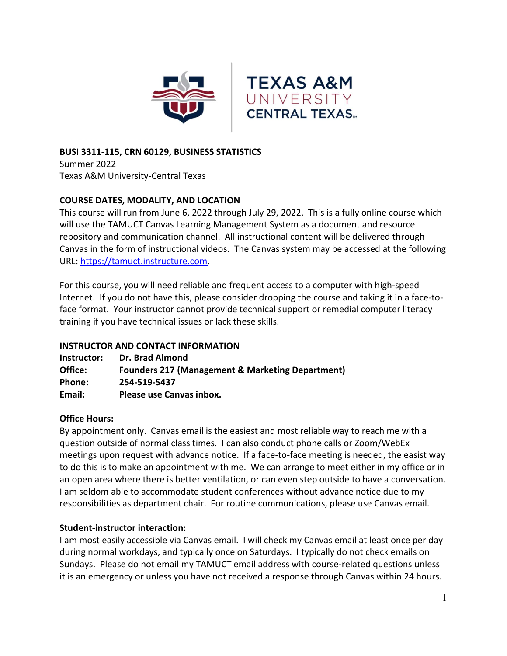

### BUSI 3311-115, CRN 60129, BUSINESS STATISTICS

Summer 2022 Texas A&M University-Central Texas

### COURSE DATES, MODALITY, AND LOCATION

This course will run from June 6, 2022 through July 29, 2022. This is a fully online course which will use the TAMUCT Canvas Learning Management System as a document and resource repository and communication channel. All instructional content will be delivered through Canvas in the form of instructional videos. The Canvas system may be accessed at the following URL: https://tamuct.instructure.com.

For this course, you will need reliable and frequent access to a computer with high-speed Internet. If you do not have this, please consider dropping the course and taking it in a face-toface format. Your instructor cannot provide technical support or remedial computer literacy training if you have technical issues or lack these skills.

#### INSTRUCTOR AND CONTACT INFORMATION

| Instructor: | Dr. Brad Almond                                             |
|-------------|-------------------------------------------------------------|
| Office:     | <b>Founders 217 (Management &amp; Marketing Department)</b> |
| Phone:      | 254-519-5437                                                |
| Email:      | Please use Canvas inbox.                                    |

#### Office Hours:

By appointment only. Canvas email is the easiest and most reliable way to reach me with a question outside of normal class times. I can also conduct phone calls or Zoom/WebEx meetings upon request with advance notice. If a face-to-face meeting is needed, the easist way to do this is to make an appointment with me. We can arrange to meet either in my office or in an open area where there is better ventilation, or can even step outside to have a conversation. I am seldom able to accommodate student conferences without advance notice due to my responsibilities as department chair. For routine communications, please use Canvas email.

# Student-instructor interaction:

I am most easily accessible via Canvas email. I will check my Canvas email at least once per day during normal workdays, and typically once on Saturdays. I typically do not check emails on Sundays. Please do not email my TAMUCT email address with course-related questions unless it is an emergency or unless you have not received a response through Canvas within 24 hours.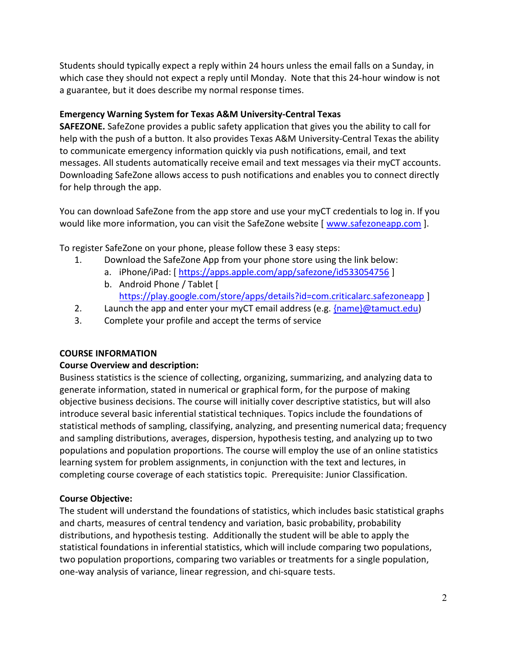Students should typically expect a reply within 24 hours unless the email falls on a Sunday, in which case they should not expect a reply until Monday. Note that this 24-hour window is not a guarantee, but it does describe my normal response times.

# Emergency Warning System for Texas A&M University-Central Texas

SAFEZONE. SafeZone provides a public safety application that gives you the ability to call for help with the push of a button. It also provides Texas A&M University-Central Texas the ability to communicate emergency information quickly via push notifications, email, and text messages. All students automatically receive email and text messages via their myCT accounts. Downloading SafeZone allows access to push notifications and enables you to connect directly for help through the app.

You can download SafeZone from the app store and use your myCT credentials to log in. If you would like more information, you can visit the SafeZone website [ www.safezoneapp.com ].

To register SafeZone on your phone, please follow these 3 easy steps:

- 1. Download the SafeZone App from your phone store using the link below:
	- a. iPhone/iPad: [ https://apps.apple.com/app/safezone/id533054756 ]
	- b. Android Phone / Tablet [ https://play.google.com/store/apps/details?id=com.criticalarc.safezoneapp ]
- 2. Launch the app and enter your myCT email address (e.g.  ${name@tamuct.edu}$ )
- 3. Complete your profile and accept the terms of service

# COURSE INFORMATION

# Course Overview and description:

Business statistics is the science of collecting, organizing, summarizing, and analyzing data to generate information, stated in numerical or graphical form, for the purpose of making objective business decisions. The course will initially cover descriptive statistics, but will also introduce several basic inferential statistical techniques. Topics include the foundations of statistical methods of sampling, classifying, analyzing, and presenting numerical data; frequency and sampling distributions, averages, dispersion, hypothesis testing, and analyzing up to two populations and population proportions. The course will employ the use of an online statistics learning system for problem assignments, in conjunction with the text and lectures, in completing course coverage of each statistics topic. Prerequisite: Junior Classification.

# Course Objective:

The student will understand the foundations of statistics, which includes basic statistical graphs and charts, measures of central tendency and variation, basic probability, probability distributions, and hypothesis testing. Additionally the student will be able to apply the statistical foundations in inferential statistics, which will include comparing two populations, two population proportions, comparing two variables or treatments for a single population, one-way analysis of variance, linear regression, and chi-square tests.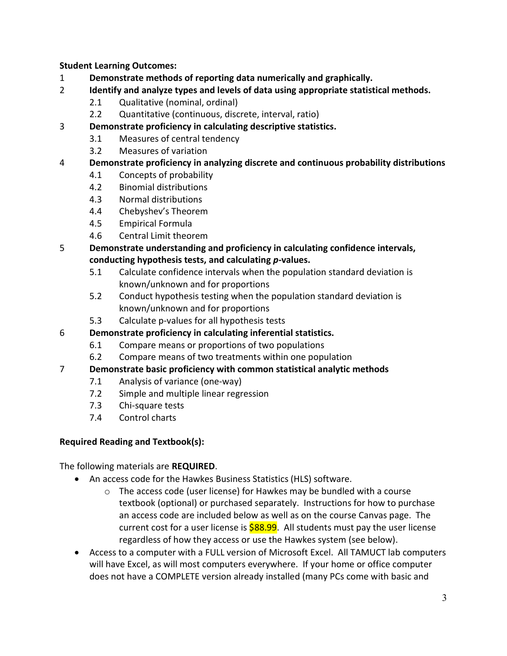Student Learning Outcomes:

- 1 Demonstrate methods of reporting data numerically and graphically.
- 2 Identify and analyze types and levels of data using appropriate statistical methods.
	- 2.1 Qualitative (nominal, ordinal)
	- 2.2 Quantitative (continuous, discrete, interval, ratio)
- 3 Demonstrate proficiency in calculating descriptive statistics.
	- 3.1 Measures of central tendency
	- 3.2 Measures of variation

# 4 Demonstrate proficiency in analyzing discrete and continuous probability distributions

- 4.1 Concepts of probability
- 4.2 Binomial distributions
- 4.3 Normal distributions
- 4.4 Chebyshev's Theorem
- 4.5 Empirical Formula
- 4.6 Central Limit theorem
- 5 Demonstrate understanding and proficiency in calculating confidence intervals, conducting hypothesis tests, and calculating p-values.
	- 5.1 Calculate confidence intervals when the population standard deviation is known/unknown and for proportions
	- 5.2 Conduct hypothesis testing when the population standard deviation is known/unknown and for proportions
	- 5.3 Calculate p-values for all hypothesis tests

# 6 Demonstrate proficiency in calculating inferential statistics.

- 6.1 Compare means or proportions of two populations
- 6.2 Compare means of two treatments within one population

# 7 Demonstrate basic proficiency with common statistical analytic methods

- 7.1 Analysis of variance (one-way)
- 7.2 Simple and multiple linear regression
- 7.3 Chi-square tests
- 7.4 Control charts

# Required Reading and Textbook(s):

The following materials are REQUIRED.

- An access code for the Hawkes Business Statistics (HLS) software.
	- o The access code (user license) for Hawkes may be bundled with a course textbook (optional) or purchased separately. Instructions for how to purchase an access code are included below as well as on the course Canvas page. The current cost for a user license is  $$88.99$ . All students must pay the user license regardless of how they access or use the Hawkes system (see below).
- Access to a computer with a FULL version of Microsoft Excel. All TAMUCT lab computers will have Excel, as will most computers everywhere. If your home or office computer does not have a COMPLETE version already installed (many PCs come with basic and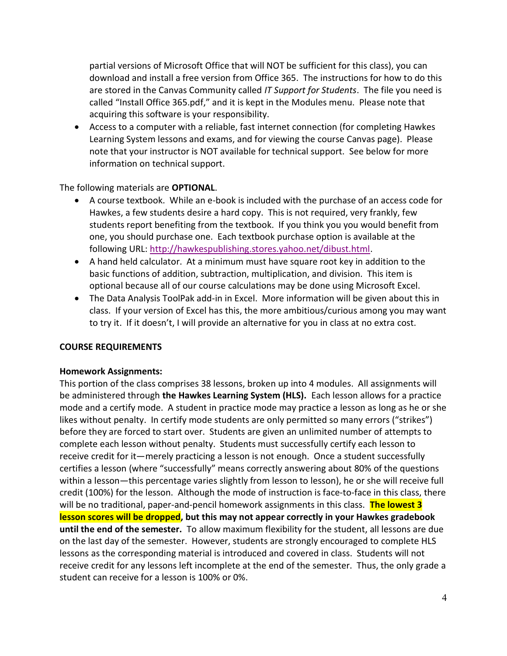partial versions of Microsoft Office that will NOT be sufficient for this class), you can download and install a free version from Office 365. The instructions for how to do this are stored in the Canvas Community called IT Support for Students. The file you need is called "Install Office 365.pdf," and it is kept in the Modules menu. Please note that acquiring this software is your responsibility.

 Access to a computer with a reliable, fast internet connection (for completing Hawkes Learning System lessons and exams, and for viewing the course Canvas page). Please note that your instructor is NOT available for technical support. See below for more information on technical support.

The following materials are OPTIONAL.

- A course textbook. While an e-book is included with the purchase of an access code for Hawkes, a few students desire a hard copy. This is not required, very frankly, few students report benefiting from the textbook. If you think you you would benefit from one, you should purchase one. Each textbook purchase option is available at the following URL: http://hawkespublishing.stores.yahoo.net/dibust.html.
- A hand held calculator. At a minimum must have square root key in addition to the basic functions of addition, subtraction, multiplication, and division. This item is optional because all of our course calculations may be done using Microsoft Excel.
- The Data Analysis ToolPak add-in in Excel. More information will be given about this in class. If your version of Excel has this, the more ambitious/curious among you may want to try it. If it doesn't, I will provide an alternative for you in class at no extra cost.

#### COURSE REQUIREMENTS

#### Homework Assignments:

This portion of the class comprises 38 lessons, broken up into 4 modules. All assignments will be administered through the Hawkes Learning System (HLS). Each lesson allows for a practice mode and a certify mode. A student in practice mode may practice a lesson as long as he or she likes without penalty. In certify mode students are only permitted so many errors ("strikes") before they are forced to start over. Students are given an unlimited number of attempts to complete each lesson without penalty. Students must successfully certify each lesson to receive credit for it—merely practicing a lesson is not enough. Once a student successfully certifies a lesson (where "successfully" means correctly answering about 80% of the questions within a lesson—this percentage varies slightly from lesson to lesson), he or she will receive full credit (100%) for the lesson. Although the mode of instruction is face-to-face in this class, there will be no traditional, paper-and-pencil homework assignments in this class. The lowest 3 lesson scores will be dropped, but this may not appear correctly in your Hawkes gradebook until the end of the semester. To allow maximum flexibility for the student, all lessons are due on the last day of the semester. However, students are strongly encouraged to complete HLS lessons as the corresponding material is introduced and covered in class. Students will not receive credit for any lessons left incomplete at the end of the semester. Thus, the only grade a student can receive for a lesson is 100% or 0%.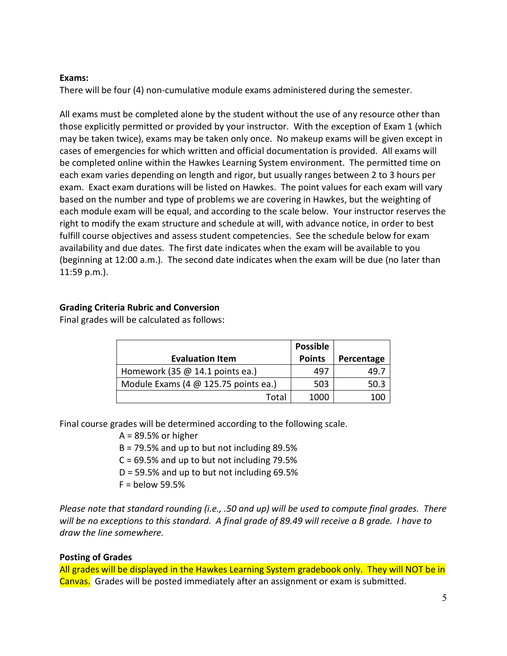#### Exams:

There will be four (4) non-cumulative module exams administered during the semester.

All exams must be completed alone by the student without the use of any resource other than those explicitly permitted or provided by your instructor. With the exception of Exam 1 (which may be taken twice), exams may be taken only once. No makeup exams will be given except in cases of emergencies for which written and official documentation is provided. All exams will be completed online within the Hawkes Learning System environment. The permitted time on each exam varies depending on length and rigor, but usually ranges between 2 to 3 hours per exam. Exact exam durations will be listed on Hawkes. The point values for each exam will vary based on the number and type of problems we are covering in Hawkes, but the weighting of each module exam will be equal, and according to the scale below. Your instructor reserves the right to modify the exam structure and schedule at will, with advance notice, in order to best fulfill course objectives and assess student competencies. See the schedule below for exam availability and due dates. The first date indicates when the exam will be available to you (beginning at 12:00 a.m.). The second date indicates when the exam will be due (no later than 11:59 p.m.).

### Grading Criteria Rubric and Conversion

Final grades will be calculated as follows:

|                                        | <b>Possible</b> |            |
|----------------------------------------|-----------------|------------|
| <b>Evaluation Item</b>                 | <b>Points</b>   | Percentage |
| Homework (35 $@$ 14.1 points ea.)      | 497             | 49.7       |
| Module Exams (4 $@$ 125.75 points ea.) | 503             | 50.3       |
| Total                                  | 1000            | 100        |

Final course grades will be determined according to the following scale.

 $A = 89.5%$  or higher

B = 79.5% and up to but not including 89.5%

 $C = 69.5%$  and up to but not including 79.5%

- $D = 59.5\%$  and up to but not including 69.5%
- $F =$  below 59.5%

Please note that standard rounding (i.e., .50 and up) will be used to compute final grades. There will be no exceptions to this standard. A final grade of 89.49 will receive a B grade. I have to draw the line somewhere.

# Posting of Grades

All grades will be displayed in the Hawkes Learning System gradebook only. They will NOT be in Canvas. Grades will be posted immediately after an assignment or exam is submitted.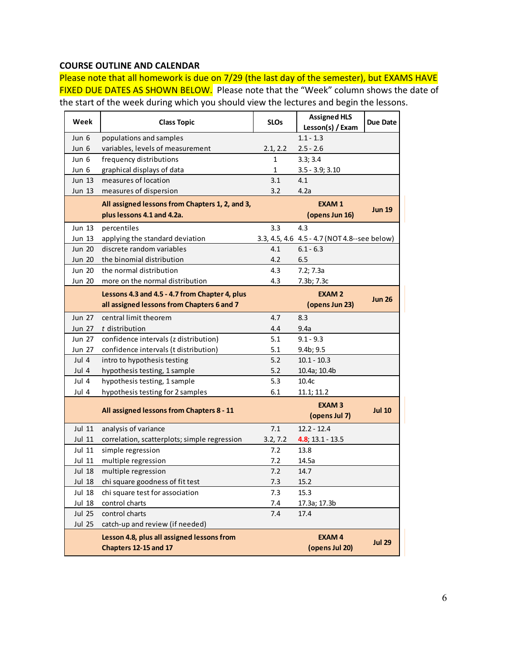### COURSE OUTLINE AND CALENDAR

|                                | <b>COURSE OUTLINE AND CALENDAR</b>                                                          |              |                                                |                 |
|--------------------------------|---------------------------------------------------------------------------------------------|--------------|------------------------------------------------|-----------------|
|                                | Please note that all homework is due on 7/29 (the last day of the semester), but EXAMS HAVE |              |                                                |                 |
|                                | IXED DUE DATES AS SHOWN BELOW. Please note that the "Week" column shows the date of         |              |                                                |                 |
|                                |                                                                                             |              |                                                |                 |
|                                | he start of the week during which you should view the lectures and begin the lessons.       |              |                                                |                 |
| Week                           | <b>Class Topic</b>                                                                          | <b>SLOs</b>  | <b>Assigned HLS</b>                            | <b>Due Date</b> |
|                                |                                                                                             |              | Lesson(s) / Exam                               |                 |
| Jun 6                          | populations and samples                                                                     |              | $1.1 - 1.3$                                    |                 |
| Jun 6                          | variables, levels of measurement                                                            | 2.1, 2.2     | $2.5 - 2.6$                                    |                 |
| Jun 6                          | frequency distributions                                                                     | $\mathbf{1}$ | 3.3; 3.4                                       |                 |
| Jun 6<br>Jun 13                | graphical displays of data<br>measures of location                                          | 1<br>3.1     | $3.5 - 3.9; 3.10$<br>4.1                       |                 |
| Jun $13$                       | measures of dispersion                                                                      | 3.2          | 4.2a                                           |                 |
|                                |                                                                                             |              |                                                |                 |
|                                | All assigned lessons from Chapters 1, 2, and 3,                                             |              | <b>EXAM1</b>                                   | <b>Jun 19</b>   |
|                                | plus lessons 4.1 and 4.2a.                                                                  |              | (opens Jun 16)                                 |                 |
| Jun 13                         | percentiles                                                                                 | 3.3          | 4.3                                            |                 |
| Jun 13                         | applying the standard deviation                                                             |              | 3.3, 4.5, 4.6 4.5 - 4.7 (NOT 4.8 -- see below) |                 |
| <b>Jun 20</b>                  | discrete random variables                                                                   | 4.1          | $6.1 - 6.3$                                    |                 |
| <b>Jun 20</b>                  | the binomial distribution                                                                   | 4.2          | 6.5                                            |                 |
| <b>Jun 20</b><br><b>Jun 20</b> | the normal distribution                                                                     | 4.3<br>4.3   | 7.2; 7.3a                                      |                 |
|                                | more on the normal distribution                                                             |              | 7.3b; 7.3c                                     |                 |
|                                | Lessons 4.3 and 4.5 - 4.7 from Chapter 4, plus                                              |              | <b>EXAM2</b>                                   | <b>Jun 26</b>   |
|                                | all assigned lessons from Chapters 6 and 7                                                  |              | (opens Jun 23)                                 |                 |
| Jun 27                         | central limit theorem                                                                       | 4.7          | 8.3                                            |                 |
| Jun 27                         | t distribution                                                                              | 4.4          | 9.4a                                           |                 |
| Jun 27                         | confidence intervals (z distribution)                                                       | 5.1          | $9.1 - 9.3$                                    |                 |
| <b>Jun 27</b>                  | confidence intervals (t distribution)                                                       | 5.1          | 9.4 <sub>b</sub> ; 9.5                         |                 |
| Jul 4<br>Jul 4                 | intro to hypothesis testing                                                                 | 5.2<br>5.2   | $10.1 - 10.3$                                  |                 |
| Jul 4                          | hypothesis testing, 1 sample<br>hypothesis testing, 1 sample                                | 5.3          | 10.4a; 10.4b<br>10.4c                          |                 |
| Jul 4                          | hypothesis testing for 2 samples                                                            | 6.1          | 11.1; 11.2                                     |                 |
|                                |                                                                                             |              |                                                |                 |
|                                | All assigned lessons from Chapters 8 - 11                                                   |              | <b>EXAM3</b><br>(opens Jul 7)                  | <b>Jul 10</b>   |
| Jul 11                         | analysis of variance                                                                        | 7.1          | $12.2 - 12.4$                                  |                 |
| Jul 11                         | correlation, scatterplots; simple regression                                                | 3.2, 7.2     | $4.8; 13.1 - 13.5$                             |                 |
| Jul 11                         | simple regression                                                                           | 7.2          | 13.8                                           |                 |
| Jul 11                         | multiple regression                                                                         | 7.2          | 14.5a                                          |                 |
| Jul 18                         | multiple regression                                                                         | 7.2          | 14.7                                           |                 |
| Jul 18                         | chi square goodness of fit test                                                             | 7.3          | 15.2                                           |                 |
| Jul 18                         | chi square test for association                                                             | 7.3          | 15.3                                           |                 |
| Jul 18                         | control charts                                                                              | 7.4          | 17.3a; 17.3b                                   |                 |
|                                | control charts                                                                              | 7.4          | 17.4                                           |                 |
| Jul 25                         |                                                                                             |              |                                                |                 |
| Jul 25                         | catch-up and review (if needed)                                                             |              |                                                |                 |
|                                | Lesson 4.8, plus all assigned lessons from                                                  |              | <b>EXAM4</b>                                   | <b>Jul 29</b>   |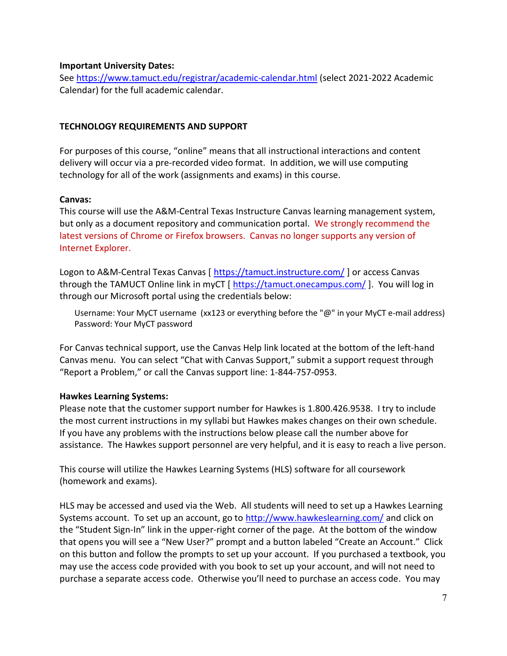#### Important University Dates:

See https://www.tamuct.edu/registrar/academic-calendar.html (select 2021-2022 Academic Calendar) for the full academic calendar.

#### TECHNOLOGY REQUIREMENTS AND SUPPORT

For purposes of this course, "online" means that all instructional interactions and content delivery will occur via a pre-recorded video format. In addition, we will use computing technology for all of the work (assignments and exams) in this course.

#### Canvas:

This course will use the A&M-Central Texas Instructure Canvas learning management system, but only as a document repository and communication portal. We strongly recommend the latest versions of Chrome or Firefox browsers. Canvas no longer supports any version of Internet Explorer.

Logon to A&M-Central Texas Canvas [ https://tamuct.instructure.com/ ] or access Canvas through the TAMUCT Online link in myCT [ https://tamuct.onecampus.com/ ]. You will log in through our Microsoft portal using the credentials below:

Username: Your MyCT username (xx123 or everything before the "@" in your MyCT e-mail address) Password: Your MyCT password

For Canvas technical support, use the Canvas Help link located at the bottom of the left-hand Canvas menu. You can select "Chat with Canvas Support," submit a support request through "Report a Problem," or call the Canvas support line: 1-844-757-0953.

#### Hawkes Learning Systems:

Please note that the customer support number for Hawkes is 1.800.426.9538. I try to include the most current instructions in my syllabi but Hawkes makes changes on their own schedule. If you have any problems with the instructions below please call the number above for assistance. The Hawkes support personnel are very helpful, and it is easy to reach a live person.

This course will utilize the Hawkes Learning Systems (HLS) software for all coursework (homework and exams).

HLS may be accessed and used via the Web. All students will need to set up a Hawkes Learning Systems account. To set up an account, go to http://www.hawkeslearning.com/ and click on the "Student Sign-In" link in the upper-right corner of the page. At the bottom of the window that opens you will see a "New User?" prompt and a button labeled "Create an Account." Click on this button and follow the prompts to set up your account. If you purchased a textbook, you may use the access code provided with you book to set up your account, and will not need to purchase a separate access code. Otherwise you'll need to purchase an access code. You may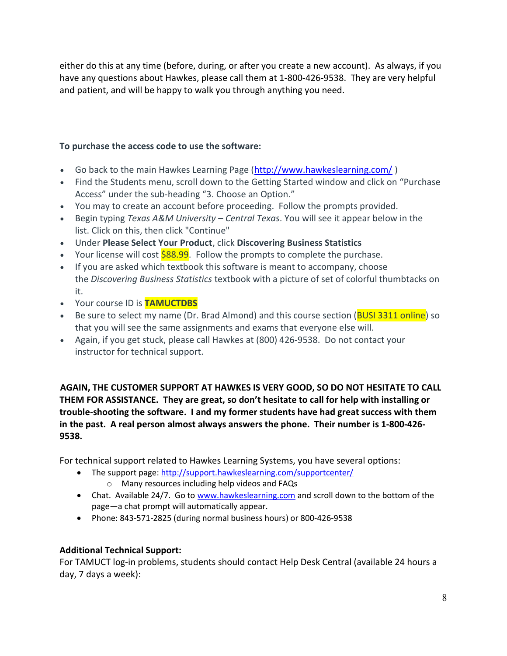either do this at any time (before, during, or after you create a new account). As always, if you have any questions about Hawkes, please call them at 1-800-426-9538. They are very helpful and patient, and will be happy to walk you through anything you need.

# To purchase the access code to use the software:

- Go back to the main Hawkes Learning Page (http://www.hawkeslearning.com/ )
- Find the Students menu, scroll down to the Getting Started window and click on "Purchase Access" under the sub-heading "3. Choose an Option."
- You may to create an account before proceeding. Follow the prompts provided.
- **Begin typing Texas A&M University Central Texas. You will see it appear below in the** list. Click on this, then click "Continue"
- Under Please Select Your Product, click Discovering Business Statistics
- Your license will cost  $$88.99$ . Follow the prompts to complete the purchase.
- If you are asked which textbook this software is meant to accompany, choose the Discovering Business Statistics textbook with a picture of set of colorful thumbtacks on it.
- Your course ID is **TAMUCTDBS**
- Be sure to select my name (Dr. Brad Almond) and this course section (**BUSI 3311 online**) so that you will see the same assignments and exams that everyone else will.
- Again, if you get stuck, please call Hawkes at (800) 426-9538. Do not contact your instructor for technical support.

AGAIN, THE CUSTOMER SUPPORT AT HAWKES IS VERY GOOD, SO DO NOT HESITATE TO CALL THEM FOR ASSISTANCE. They are great, so don't hesitate to call for help with installing or trouble-shooting the software. I and my former students have had great success with them in the past. A real person almost always answers the phone. Their number is 1-800-426- 9538.

For technical support related to Hawkes Learning Systems, you have several options:

- The support page: http://support.hawkeslearning.com/supportcenter/
	- o Many resources including help videos and FAQs
- Chat. Available 24/7. Go to www.hawkeslearning.com and scroll down to the bottom of the page—a chat prompt will automatically appear.
- Phone: 843-571-2825 (during normal business hours) or 800-426-9538

# Additional Technical Support:

For TAMUCT log-in problems, students should contact Help Desk Central (available 24 hours a day, 7 days a week):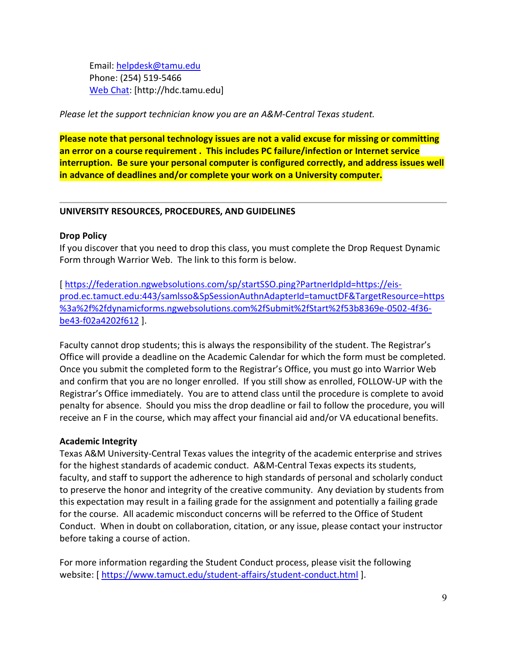Email: helpdesk@tamu.edu Phone: (254) 519-5466 Web Chat: [http://hdc.tamu.edu]

Please let the support technician know you are an A&M-Central Texas student.

Please note that personal technology issues are not a valid excuse for missing or committing an error on a course requirement . This includes PC failure/infection or Internet service interruption. Be sure your personal computer is configured correctly, and address issues well in advance of deadlines and/or complete your work on a University computer.

#### UNIVERSITY RESOURCES, PROCEDURES, AND GUIDELINES

#### Drop Policy

If you discover that you need to drop this class, you must complete the Drop Request Dynamic Form through Warrior Web. The link to this form is below.

[ https://federation.ngwebsolutions.com/sp/startSSO.ping?PartnerIdpId=https://eisprod.ec.tamuct.edu:443/samlsso&SpSessionAuthnAdapterId=tamuctDF&TargetResource=https %3a%2f%2fdynamicforms.ngwebsolutions.com%2fSubmit%2fStart%2f53b8369e-0502-4f36 be43-f02a4202f612 ].

Faculty cannot drop students; this is always the responsibility of the student. The Registrar's Office will provide a deadline on the Academic Calendar for which the form must be completed. Once you submit the completed form to the Registrar's Office, you must go into Warrior Web and confirm that you are no longer enrolled. If you still show as enrolled, FOLLOW-UP with the Registrar's Office immediately. You are to attend class until the procedure is complete to avoid penalty for absence. Should you miss the drop deadline or fail to follow the procedure, you will receive an F in the course, which may affect your financial aid and/or VA educational benefits.

#### Academic Integrity

Texas A&M University-Central Texas values the integrity of the academic enterprise and strives for the highest standards of academic conduct. A&M-Central Texas expects its students, faculty, and staff to support the adherence to high standards of personal and scholarly conduct to preserve the honor and integrity of the creative community. Any deviation by students from this expectation may result in a failing grade for the assignment and potentially a failing grade for the course. All academic misconduct concerns will be referred to the Office of Student Conduct. When in doubt on collaboration, citation, or any issue, please contact your instructor before taking a course of action.

For more information regarding the Student Conduct process, please visit the following website: [ https://www.tamuct.edu/student-affairs/student-conduct.html ].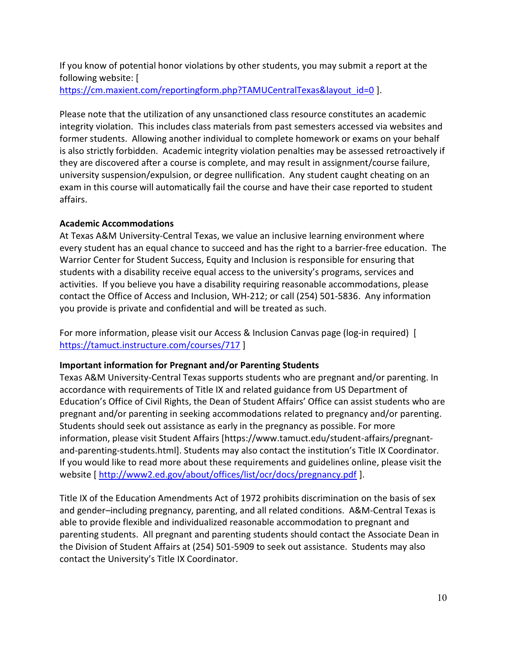If you know of potential honor violations by other students, you may submit a report at the following website: [

https://cm.maxient.com/reportingform.php?TAMUCentralTexas&layout\_id=0 ].

Please note that the utilization of any unsanctioned class resource constitutes an academic integrity violation. This includes class materials from past semesters accessed via websites and former students. Allowing another individual to complete homework or exams on your behalf is also strictly forbidden. Academic integrity violation penalties may be assessed retroactively if they are discovered after a course is complete, and may result in assignment/course failure, university suspension/expulsion, or degree nullification. Any student caught cheating on an exam in this course will automatically fail the course and have their case reported to student affairs.

# Academic Accommodations

At Texas A&M University-Central Texas, we value an inclusive learning environment where every student has an equal chance to succeed and has the right to a barrier-free education. The Warrior Center for Student Success, Equity and Inclusion is responsible for ensuring that students with a disability receive equal access to the university's programs, services and activities. If you believe you have a disability requiring reasonable accommodations, please contact the Office of Access and Inclusion, WH-212; or call (254) 501-5836. Any information you provide is private and confidential and will be treated as such.

For more information, please visit our Access & Inclusion Canvas page (log-in required) [ https://tamuct.instructure.com/courses/717 ]

# Important information for Pregnant and/or Parenting Students

Texas A&M University-Central Texas supports students who are pregnant and/or parenting. In accordance with requirements of Title IX and related guidance from US Department of Education's Office of Civil Rights, the Dean of Student Affairs' Office can assist students who are pregnant and/or parenting in seeking accommodations related to pregnancy and/or parenting. Students should seek out assistance as early in the pregnancy as possible. For more information, please visit Student Affairs [https://www.tamuct.edu/student-affairs/pregnantand-parenting-students.html]. Students may also contact the institution's Title IX Coordinator. If you would like to read more about these requirements and guidelines online, please visit the website [ http://www2.ed.gov/about/offices/list/ocr/docs/pregnancy.pdf ].

Title IX of the Education Amendments Act of 1972 prohibits discrimination on the basis of sex and gender–including pregnancy, parenting, and all related conditions. A&M-Central Texas is able to provide flexible and individualized reasonable accommodation to pregnant and parenting students. All pregnant and parenting students should contact the Associate Dean in the Division of Student Affairs at (254) 501-5909 to seek out assistance. Students may also contact the University's Title IX Coordinator.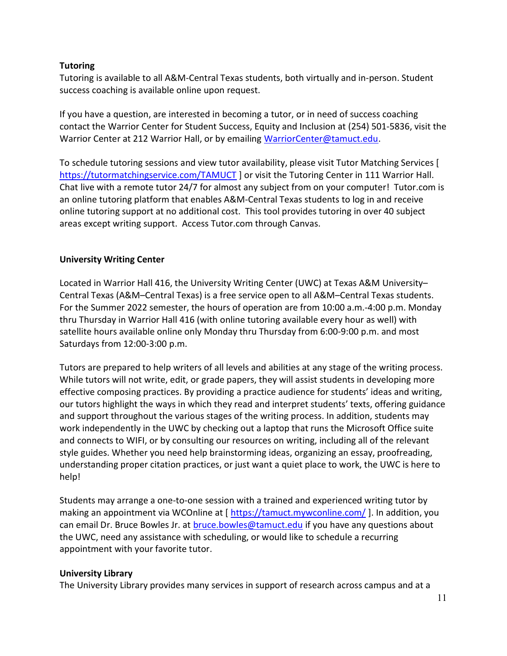### **Tutoring**

Tutoring is available to all A&M-Central Texas students, both virtually and in-person. Student success coaching is available online upon request.

If you have a question, are interested in becoming a tutor, or in need of success coaching contact the Warrior Center for Student Success, Equity and Inclusion at (254) 501-5836, visit the Warrior Center at 212 Warrior Hall, or by emailing WarriorCenter@tamuct.edu.

To schedule tutoring sessions and view tutor availability, please visit Tutor Matching Services [ https://tutormatchingservice.com/TAMUCT] or visit the Tutoring Center in 111 Warrior Hall. Chat live with a remote tutor 24/7 for almost any subject from on your computer! Tutor.com is an online tutoring platform that enables A&M-Central Texas students to log in and receive online tutoring support at no additional cost. This tool provides tutoring in over 40 subject areas except writing support. Access Tutor.com through Canvas.

### University Writing Center

Located in Warrior Hall 416, the University Writing Center (UWC) at Texas A&M University– Central Texas (A&M–Central Texas) is a free service open to all A&M–Central Texas students. For the Summer 2022 semester, the hours of operation are from 10:00 a.m.-4:00 p.m. Monday thru Thursday in Warrior Hall 416 (with online tutoring available every hour as well) with satellite hours available online only Monday thru Thursday from 6:00-9:00 p.m. and most Saturdays from 12:00-3:00 p.m.

Tutors are prepared to help writers of all levels and abilities at any stage of the writing process. While tutors will not write, edit, or grade papers, they will assist students in developing more effective composing practices. By providing a practice audience for students' ideas and writing, our tutors highlight the ways in which they read and interpret students' texts, offering guidance and support throughout the various stages of the writing process. In addition, students may work independently in the UWC by checking out a laptop that runs the Microsoft Office suite and connects to WIFI, or by consulting our resources on writing, including all of the relevant style guides. Whether you need help brainstorming ideas, organizing an essay, proofreading, understanding proper citation practices, or just want a quiet place to work, the UWC is here to help!

Students may arrange a one-to-one session with a trained and experienced writing tutor by making an appointment via WCOnline at [ https://tamuct.mywconline.com/ ]. In addition, you can email Dr. Bruce Bowles Jr. at bruce.bowles@tamuct.edu if you have any questions about the UWC, need any assistance with scheduling, or would like to schedule a recurring appointment with your favorite tutor.

#### University Library

The University Library provides many services in support of research across campus and at a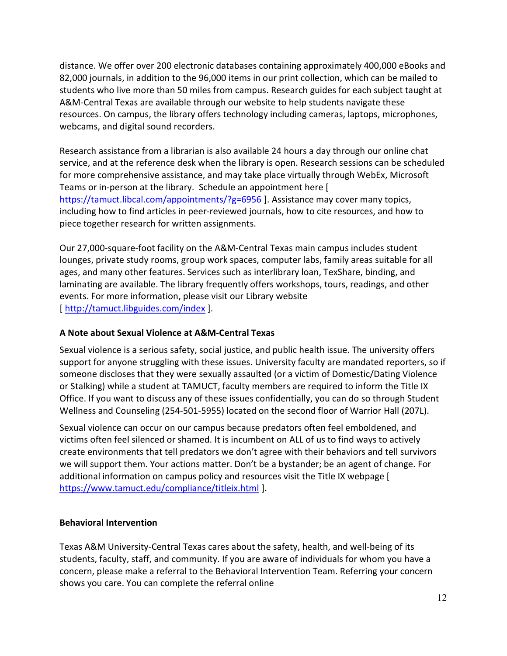distance. We offer over 200 electronic databases containing approximately 400,000 eBooks and 82,000 journals, in addition to the 96,000 items in our print collection, which can be mailed to students who live more than 50 miles from campus. Research guides for each subject taught at A&M-Central Texas are available through our website to help students navigate these resources. On campus, the library offers technology including cameras, laptops, microphones, webcams, and digital sound recorders.

Research assistance from a librarian is also available 24 hours a day through our online chat service, and at the reference desk when the library is open. Research sessions can be scheduled for more comprehensive assistance, and may take place virtually through WebEx, Microsoft Teams or in-person at the library. Schedule an appointment here [ https://tamuct.libcal.com/appointments/?g=6956 ]. Assistance may cover many topics, including how to find articles in peer-reviewed journals, how to cite resources, and how to piece together research for written assignments.

Our 27,000-square-foot facility on the A&M-Central Texas main campus includes student lounges, private study rooms, group work spaces, computer labs, family areas suitable for all ages, and many other features. Services such as interlibrary loan, TexShare, binding, and laminating are available. The library frequently offers workshops, tours, readings, and other events. For more information, please visit our Library website [ http://tamuct.libguides.com/index ].

# A Note about Sexual Violence at A&M-Central Texas

Sexual violence is a serious safety, social justice, and public health issue. The university offers support for anyone struggling with these issues. University faculty are mandated reporters, so if someone discloses that they were sexually assaulted (or a victim of Domestic/Dating Violence or Stalking) while a student at TAMUCT, faculty members are required to inform the Title IX Office. If you want to discuss any of these issues confidentially, you can do so through Student Wellness and Counseling (254-501-5955) located on the second floor of Warrior Hall (207L).

Sexual violence can occur on our campus because predators often feel emboldened, and victims often feel silenced or shamed. It is incumbent on ALL of us to find ways to actively create environments that tell predators we don't agree with their behaviors and tell survivors we will support them. Your actions matter. Don't be a bystander; be an agent of change. For additional information on campus policy and resources visit the Title IX webpage [ https://www.tamuct.edu/compliance/titleix.html ].

# Behavioral Intervention

Texas A&M University-Central Texas cares about the safety, health, and well-being of its students, faculty, staff, and community. If you are aware of individuals for whom you have a concern, please make a referral to the Behavioral Intervention Team. Referring your concern shows you care. You can complete the referral online